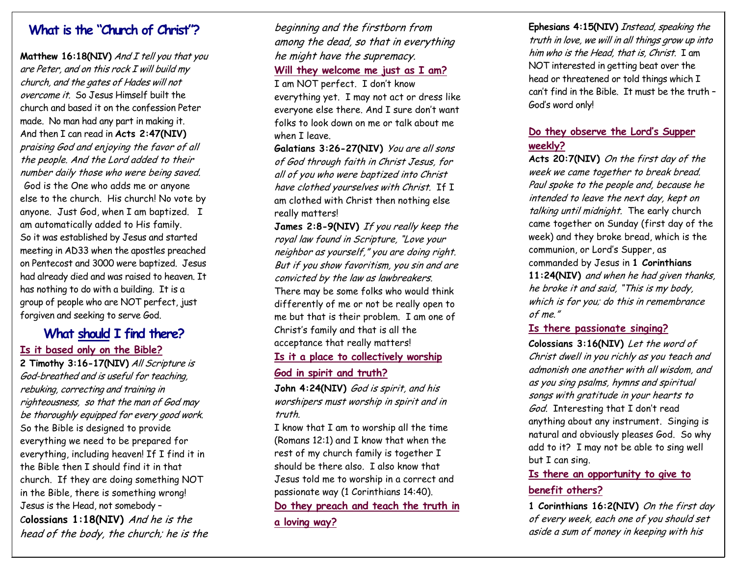# **What is the "Church of Christ"?**

**Matthew 16:18(NIV)** And I tell you that you are Peter, and on this rock I will build my church, and the gates of Hades will not overcome it. So Jesus Himself built the church and based it on the confession Peter made. No man had any part in making it. And then I can read in **Acts 2:47(NIV)**  praising God and enjoying the favor of all the people. And the Lord added to their number daily those who were being saved. God is the One who adds me or anyone else to the church. His church! No vote by anyone. Just God, when I am baptized. I am automatically added to His family. So it was established by Jesus and started meeting in AD33 when the apostles preached on Pentecost and 3000 were baptized. Jesus had already died and was raised to heaven. It has nothing to do with a building. It is a group of people who are NOT perfect, just forgiven and seeking to serve God.

# **What should I find there? Is it based only on the Bible?**

**2 Timothy 3:16-17(NIV)** All Scripture is God-breathed and is useful for teaching, rebuking, correcting and training in righteousness, so that the man of God may be thoroughly equipped for every good work. So the Bible is designed to provide everything we need to be prepared for everything, including heaven! If I find it in the Bible then I should find it in that church. If they are doing something NOT in the Bible, there is something wrong! Jesus is the Head, not somebody –

<sup>C</sup>**olossians 1:18(NIV)** And he is the head of the body, the church; he is the

## beginning and the firstborn from among the dead, so that in everything he might have the supremacy. **Will they welcome me just as I am?**

I am NOT perfect. I don't know everything yet. I may not act or dress like everyone else there. And I sure don't want folks to look down on me or talk about me when I leave.

**Galatians 3:26-27(NIV)** You are all sons of God through faith in Christ Jesus, for all of you who were baptized into Christ have clothed yourselves with Christ. If I am clothed with Christ then nothing else really matters!

**James 2:8-9(NIV)** If you really keep the royal law found in Scripture, "Love your neighbor as yourself," you are doing right. But if you show favoritism, you sin and are convicted by the law as lawbreakers. There may be some folks who would think differently of me or not be really open to me but that is their problem. I am one of Christ's family and that is all the acceptance that really matters!

#### **Is it a place to collectively worship**

#### **God in spirit and truth?**

John 4:24(NIV) *God is spirit, and his* worshipers must worship in spirit and in truth.

I know that I am to worship all the time (Romans 12:1) and I know that when the rest of my church family is together I should be there also. I also know that Jesus told me to worship in a correct and passionate way (1 Corinthians 14:40). **Do they preach and teach the truth in** 

**a loving way?** 

**Ephesians 4:15(NIV)** Instead, speaking the truth in love, we will in all things grow up into him who is the Head, that is, Christ. I am NOT interested in getting beat over the head or threatened or told things which I can't find in the Bible. It must be the truth – God's word only!

## **Do they observe the Lord's Supper weekly?**

**Acts 20:7(NIV)** On the first day of the week we came together to break bread. Paul spoke to the people and, because he intended to leave the next day, kept on talking until midnight. The early church came together on Sunday (first day of the week) and they broke bread, which is the communion, or Lord's Supper, as commanded by Jesus in **1 Corinthians 11:24(NIV)** and when he had given thanks, he broke it and said, "This is my body, which is for you; do this in remembrance of me."

#### **Is there passionate singing?**

**Colossians 3:16(NIV)** Let the word of Christ dwell in you richly as you teach and admonish one another with all wisdom, and as you sing psalms, hymns and spiritual songs with gratitude in your hearts to God. Interesting that I don't read anything about any instrument. Singing is natural and obviously pleases God. So why add to it? I may not be able to sing well but I can sing.

## **Is there an opportunity to give to benefit others?**

**1 Corinthians 16:2(NIV)** On the first day of every week, each one of you should set aside a sum of money in keeping with his